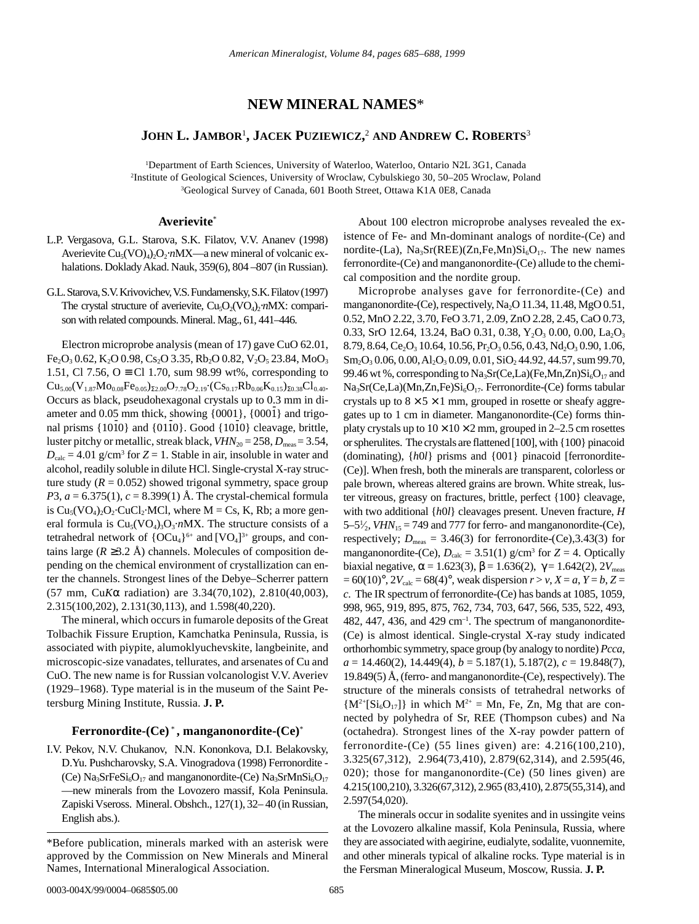# **NEW MINERAL NAMES**\*

## JOHN **L. J**AMBOR<sup>1</sup>, JACEK PUZIEWICZ,<sup>2</sup> AND **ANDREW C. ROBERTS**3

1 Department of Earth Sciences, University of Waterloo, Waterloo, Ontario N2L 3G1, Canada 2 Institute of Geological Sciences, University of Wroclaw, Cybulskiego 30, 50–205 Wroclaw, Poland 3 Geological Survey of Canada, 601 Booth Street, Ottawa K1A 0E8, Canada

#### **Averievite**\*

- L.P. Vergasova, G.L. Starova, S.K. Filatov, V.V. Ananev (1998) Averievite Cu<sub>5</sub>(VO)<sub>4</sub>)<sub>2</sub>O<sub>2</sub>⋅*n*MX—a new mineral of volcanic exhalations. Doklady Akad. Nauk, 359(6), 804 – 807 (in Russian).
- G.L. Starova, S.V. Krivovichev, V.S. Fundamensky, S.K. Filatov (1997) The crystal structure of averievite, Cu<sub>5</sub>O<sub>2</sub>(VO<sub>4</sub>)<sub>2</sub>⋅*n*MX: comparison with related compounds. Mineral. Mag., 61, 441–446.

Electron microprobe analysis (mean of 17) gave CuO 62.01,  $Fe<sub>2</sub>O<sub>3</sub> 0.62, K<sub>2</sub>O 0.98, Cs<sub>2</sub>O 3.35, Rb<sub>2</sub>O 0.82, V<sub>2</sub>O<sub>5</sub> 23.84, MoO<sub>3</sub>$ 1.51, Cl 7.56, O  $\equiv$  Cl 1.70, sum 98.99 wt%, corresponding to  $Cu_{5.00}(V_{1.87}Mo_{0.08}Fe_{0.05})_{\Sigma2.00}O_{7.78}O_{2.19}\cdot (Cs_{0.17}Rb_{0.06}K_{0.15})_{\Sigma0.38}Cl_{0.40}$ Occurs as black, pseudohexagonal crystals up to 0.3 mm in di- $\alpha$  ameter and 0.05 mm thick, showing  $\{0001\}$ ,  $\{000\}$  and trigoancter and  $0.05$  lim tinck, showing  $\{0001f, \{0001f\}$  and trigoral prisms  $\{10\overline{1}0\}$  and  $\{01\overline{1}0\}$ . Good  $\{10\overline{1}0\}$  cleavage, brittle, luster pitchy or metallic, streak black,  $VHN_{20} = 258$ ,  $D_{\text{meas}} = 3.54$ ,  $D_{\text{calc}} = 4.01$  g/cm<sup>3</sup> for  $Z = 1$ . Stable in air, insoluble in water and alcohol, readily soluble in dilute HCl. Single-crystal X-ray structure study  $(R = 0.052)$  showed trigonal symmetry, space group *P*3,  $a = 6.375(1)$ ,  $c = 8.399(1)$  Å. The crystal-chemical formula is  $Cu_5(VO_4)_2O_2$ ·CuCl<sub>2</sub>·MCl, where M = Cs, K, Rb; a more general formula is  $Cu<sub>5</sub>(VO<sub>4</sub>)<sub>3</sub>O<sub>3</sub>·nMX$ . The structure consists of a tetrahedral network of  ${[OCu_4]}^{6+}$  and  $[VO_4]^{3+}$  groups, and contains large ( $R \geq 3.2$  Å) channels. Molecules of composition depending on the chemical environment of crystallization can enter the channels. Strongest lines of the Debye–Scherrer pattern (57 mm, Cu*K*α radiation) are 3.34(70,102), 2.810(40,003), 2.315(100,202), 2.131(30,113), and 1.598(40,220).

The mineral, which occurs in fumarole deposits of the Great Tolbachik Fissure Eruption, Kamchatka Peninsula, Russia, is associated with piypite, alumoklyuchevskite, langbeinite, and microscopic-size vanadates, tellurates, and arsenates of Cu and CuO. The new name is for Russian volcanologist V.V. Averiev (1929–1968). Type material is in the museum of the Saint Petersburg Mining Institute, Russia. **J. P.**

#### **Ferronordite-(Ce)** \* **, manganonordite-(Ce)**\*

I.V. Pekov, N.V. Chukanov, N.N. Kononkova, D.I. Belakovsky, D.Yu. Pushcharovsky, S.A. Vinogradova (1998) Ferronordite - (Ce)  $\text{Na}_3\text{SrFeSi}_6\text{O}_{17}$  and manganonordite-(Ce)  $\text{Na}_3\text{SrMnSi}_6\text{O}_{17}$ —new minerals from the Lovozero massif, Kola Peninsula. Zapiski Vseross. Mineral. Obshch., 127(1), 32– 40 (in Russian, English abs.).

About 100 electron microprobe analyses revealed the existence of Fe- and Mn-dominant analogs of nordite-(Ce) and nordite-(La),  $Na<sub>3</sub>Sr(REE)(Zn,Fe,Mn)Si<sub>6</sub>O<sub>17</sub>$ . The new names ferronordite-(Ce) and manganonordite-(Ce) allude to the chemical composition and the nordite group.

Microprobe analyses gave for ferronordite-(Ce) and manganonordite-(Ce), respectively, Na<sub>2</sub>O 11.34, 11.48, MgO 0.51, 0.52, MnO 2.22, 3.70, FeO 3.71, 2.09, ZnO 2.28, 2.45, CaO 0.73, 0.33, SrO 12.64, 13.24, BaO 0.31, 0.38,  $Y_2O_3$  0.00, 0.00, La<sub>2</sub>O<sub>3</sub> 8.79, 8.64,  $Ce<sub>2</sub>O<sub>3</sub> 10.64$ , 10.56,  $Pr<sub>2</sub>O<sub>3</sub> 0.56$ , 0.43,  $Nd<sub>2</sub>O<sub>3</sub> 0.90$ , 1.06,  $Sm_2O_3$  0.06, 0.00, Al<sub>2</sub>O<sub>3</sub> 0.09, 0.01, SiO<sub>2</sub> 44.92, 44.57, sum 99.70, 99.46 wt %, corresponding to  $Na<sub>3</sub>Sr(Ce, La)(Fe, Mn, Zn)Si<sub>6</sub>O<sub>17</sub>$  and  $Na<sub>3</sub>Sr(Ce, La)(Mn, Zn, Fe)Si<sub>6</sub>O<sub>17</sub>$ . Ferronordite-(Ce) forms tabular crystals up to  $8 \times 5 \times 1$  mm, grouped in rosette or sheafy aggregates up to 1 cm in diameter. Manganonordite-(Ce) forms thinplaty crystals up to  $10 \times 10 \times 2$  mm, grouped in 2–2.5 cm rosettes or spherulites. The crystals are flattened [100], with {100} pinacoid (dominating), {*h*0*l*} prisms and {001} pinacoid [ferronordite- (Ce)]. When fresh, both the minerals are transparent, colorless or pale brown, whereas altered grains are brown. White streak, luster vitreous, greasy on fractures, brittle, perfect {100} cleavage, with two additional {*h*0*l*} cleavages present. Uneven fracture, *H*  $5-5\frac{1}{2}$ , *VHN*<sub>15</sub> = 749 and 777 for ferro- and manganonordite-(Ce), ⁄ respectively;  $D_{\text{meas}} = 3.46(3)$  for ferronordite-(Ce), 3.43(3) for manganonordite-(Ce),  $D_{\text{calc}} = 3.51(1)$  g/cm<sup>3</sup> for  $Z = 4$ . Optically biaxial negative,  $\alpha = 1.623(3)$ ,  $\beta = 1.636(2)$ ,  $\gamma = 1.642(2)$ ,  $2V_{\text{meas}}$  $= 60(10)^\circ$ ,  $2V_{\text{calc}} = 68(4)^\circ$ , weak dispersion  $r > v$ ,  $X = a$ ,  $Y = b$ ,  $Z = a$ *c*. The IR spectrum of ferronordite-(Ce) has bands at 1085, 1059, 998, 965, 919, 895, 875, 762, 734, 703, 647, 566, 535, 522, 493, 482, 447, 436, and 429  $cm^{-1}$ . The spectrum of manganonordite-(Ce) is almost identical. Single-crystal X-ray study indicated orthorhombic symmetry, space group (by analogy to nordite) *Pcca*, *a* = 14.460(2), 14.449(4), *b* = 5.187(1), 5.187(2), *c* = 19.848(7), 19.849(5) Å, (ferro- and manganonordite-(Ce), respectively). The structure of the minerals consists of tetrahedral networks of  ${M^{2+}[Si_6O_{17}] }$  in which  $M^{2+}$  = Mn, Fe, Zn, Mg that are connected by polyhedra of Sr, REE (Thompson cubes) and Na (octahedra). Strongest lines of the X-ray powder pattern of ferronordite-(Ce) (55 lines given) are: 4.216(100,210), 3.325(67,312), 2.964(73,410), 2.879(62,314), and 2.595(46, 020); those for manganonordite-(Ce) (50 lines given) are 4.215(100,210), 3.326(67,312), 2.965 (83,410), 2.875(55,314), and 2.597(54,020).

The minerals occur in sodalite syenites and in ussingite veins at the Lovozero alkaline massif, Kola Peninsula, Russia, where they are associated with aegirine, eudialyte, sodalite, vuonnemite, and other minerals typical of alkaline rocks. Type material is in the Fersman Mineralogical Museum, Moscow, Russia. **J. P.**

<sup>\*</sup>Before publication, minerals marked with an asterisk were approved by the Commission on New Minerals and Mineral Names, International Mineralogical Association.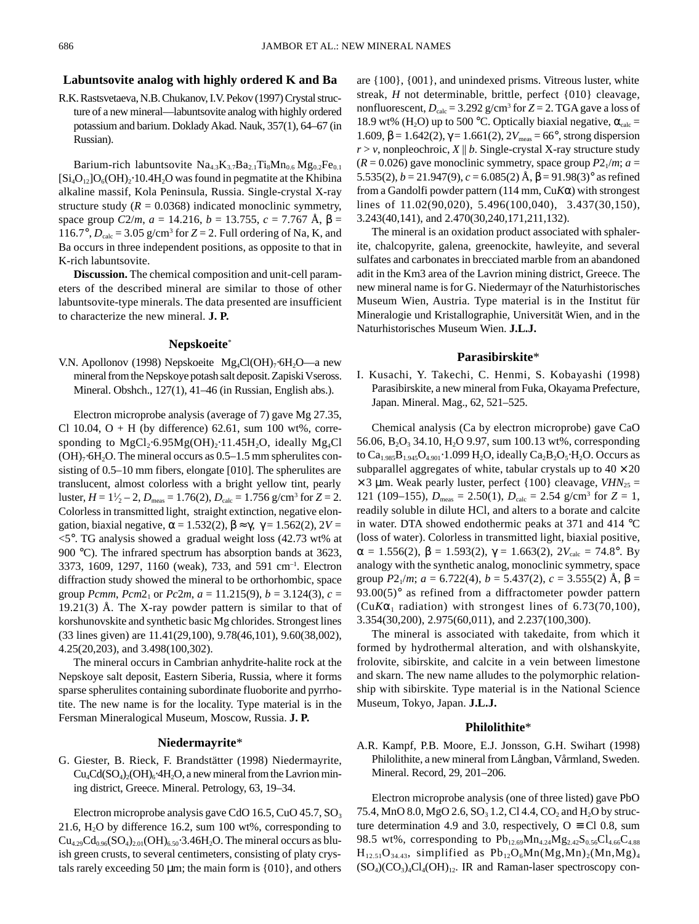#### **Labuntsovite analog with highly ordered K and Ba**

R.K. Rastsvetaeva, N.B. Chukanov, I.V. Pekov (1997) Crystal structure of a new mineral—labuntsovite analog with highly ordered potassium and barium. Doklady Akad. Nauk, 357(1), 64–67 (in Russian).

Barium-rich labuntsovite  $Na_{4.3}K_{3.7}Ba_{2.1}Ti_8Mn_{0.6}Mg_{0.2}Fe_{0.1}$  $[Si_4O_{12}]O_6(OH)_2.10.4H_2O$  was found in pegmatite at the Khibina alkaline massif, Kola Peninsula, Russia. Single-crystal X-ray structure study  $(R = 0.0368)$  indicated monoclinic symmetry, space group  $C2/m$ ,  $a = 14.216$ ,  $b = 13.755$ ,  $c = 7.767$  Å,  $\beta =$ 116.7°,  $D_{\text{calc}} = 3.05$  g/cm<sup>3</sup> for  $Z = 2$ . Full ordering of Na, K, and Ba occurs in three independent positions, as opposite to that in K-rich labuntsovite.

**Discussion.** The chemical composition and unit-cell parameters of the described mineral are similar to those of other labuntsovite-type minerals. The data presented are insufficient to characterize the new mineral. **J. P.**

#### **Nepskoeite**\*

V.N. Apollonov (1998) Nepskoeite Mg<sub>4</sub>Cl(OH)<sub>7</sub>⋅6H<sub>2</sub>O—a new mineral from the Nepskoye potash salt deposit. Zapiski Vseross. Mineral. Obshch., 127(1), 41–46 (in Russian, English abs.).

Electron microprobe analysis (average of 7) gave Mg 27.35, Cl 10.04,  $O$  + H (by difference) 62.61, sum 100 wt%, corresponding to  $MgCl_2·6.95Mg(OH)_2·11.45H_2O$ , ideally  $Mg_4Cl$  $(OH)<sub>7</sub>·6H<sub>2</sub>O$ . The mineral occurs as 0.5–1.5 mm spherulites consisting of 0.5–10 mm fibers, elongate [010]. The spherulites are translucent, almost colorless with a bright yellow tint, pearly  $\text{luster}, H = 1\frac{1}{2} - 2, D_{\text{meas}} = 1.76(2), D_{\text{calc}} = 1.756 \text{ g/cm}^3 \text{ for } Z = 2.$ Colorless in transmitted light, straight extinction, negative elongation, biaxial negative,  $\alpha = 1.532(2)$ ,  $\beta \approx \gamma$ ,  $\gamma = 1.562(2)$ ,  $2V =$  $\leq$ 5°. TG analysis showed a gradual weight loss (42.73 wt% at 900 °C). The infrared spectrum has absorption bands at 3623, 3373, 1609, 1297, 1160 (weak), 733, and 591 cm–1. Electron diffraction study showed the mineral to be orthorhombic, space group *Pcmm*,  $Pcm2_1$  or  $Pc2m$ ,  $a = 11.215(9)$ ,  $b = 3.124(3)$ ,  $c =$  $19.21(3)$  Å. The X-ray powder pattern is similar to that of korshunovskite and synthetic basic Mg chlorides. Strongest lines (33 lines given) are 11.41(29,100), 9.78(46,101), 9.60(38,002), 4.25(20,203), and 3.498(100,302).

The mineral occurs in Cambrian anhydrite-halite rock at the Nepskoye salt deposit, Eastern Siberia, Russia, where it forms sparse spherulites containing subordinate fluoborite and pyrrhotite. The new name is for the locality. Type material is in the Fersman Mineralogical Museum, Moscow, Russia. **J. P.**

### **Niedermayrite**\*

G. Giester, B. Rieck, F. Brandstätter (1998) Niedermayrite,  $Cu_4Cd(SO_4)_2(OH)_6.4H_2O$ , a new mineral from the Lavrion mining district, Greece. Mineral. Petrology, 63, 19–34.

Electron microprobe analysis gave CdO 16.5, CuO 45.7, SO<sub>3</sub> 21.6,  $H_2O$  by difference 16.2, sum 100 wt%, corresponding to  $Cu_{4.29}Cd_{0.96}(SO_4)_{2.01}(OH)_{6.50}$  3.46H<sub>2</sub>O. The mineral occurs as bluish green crusts, to several centimeters, consisting of platy crystals rarely exceeding 50 µm; the main form is {010}, and others are {100}, {001}, and unindexed prisms. Vitreous luster, white streak, *H* not determinable, brittle, perfect {010} cleavage, nonfluorescent,  $D_{\text{calc}} = 3.292 \text{ g/cm}^3$  for  $Z = 2$ . TGA gave a loss of 18.9 wt% (H<sub>2</sub>O) up to 500 °C. Optically biaxial negative,  $\alpha_{\text{calc}} =$ 1.609, β = 1.642(2),  $\gamma$  = 1.661(2),  $2V_{\text{meas}}$  = 66°, strong dispersion  $r > v$ , nonpleochroic,  $X \parallel b$ . Single-crystal X-ray structure study  $(R = 0.026)$  gave monoclinic symmetry, space group  $P2_1/m$ ;  $a =$ 5.535(2),  $b = 21.947(9)$ ,  $c = 6.085(2)$  Å,  $β = 91.98(3)°$  as refined from a Gandolfi powder pattern (114 mm, Cu*K*α) with strongest lines of 11.02(90,020), 5.496(100,040), 3.437(30,150), 3.243(40,141), and 2.470(30,240,171,211,132).

The mineral is an oxidation product associated with sphalerite, chalcopyrite, galena, greenockite, hawleyite, and several sulfates and carbonates in brecciated marble from an abandoned adit in the Km3 area of the Lavrion mining district, Greece. The new mineral name is for G. Niedermayr of the Naturhistorisches Museum Wien, Austria. Type material is in the Institut für Mineralogie und Kristallographie, Universität Wien, and in the Naturhistorisches Museum Wien. **J.L.J.**

### **Parasibirskite**\*

I. Kusachi, Y. Takechi, C. Henmi, S. Kobayashi (1998) Parasibirskite, a new mineral from Fuka, Okayama Prefecture, Japan. Mineral. Mag., 62, 521–525.

Chemical analysis (Ca by electron microprobe) gave CaO 56.06, B<sub>2</sub>O<sub>3</sub> 34.10, H<sub>2</sub>O 9.97, sum 100.13 wt%, corresponding to  $Ca<sub>1.985</sub>B<sub>1.945</sub>O<sub>4.901</sub>·1.099 H<sub>2</sub>O, ideally Ca<sub>2</sub>B<sub>2</sub>O<sub>5</sub>·H<sub>2</sub>O. Occurs as$ subparallel aggregates of white, tabular crystals up to  $40 \times 20$  $\times$  3 µm. Weak pearly luster, perfect {100} cleavage, *VHN*<sub>25</sub> = 121 (109–155),  $D_{\text{meas}} = 2.50(1)$ ,  $D_{\text{calc}} = 2.54$  g/cm<sup>3</sup> for  $Z = 1$ , readily soluble in dilute HCl, and alters to a borate and calcite in water. DTA showed endothermic peaks at 371 and 414 °C (loss of water). Colorless in transmitted light, biaxial positive,  $\alpha = 1.556(2), \beta = 1.593(2), \gamma = 1.663(2), 2V_{\text{calc}} = 74.8^{\circ}$ . By analogy with the synthetic analog, monoclinic symmetry, space group  $P2_1/m$ ;  $a = 6.722(4)$ ,  $b = 5.437(2)$ ,  $c = 3.555(2)$  Å,  $\beta =$  $93.00(5)$ ° as refined from a diffractometer powder pattern (Cu $K\alpha_1$  radiation) with strongest lines of 6.73(70,100), 3.354(30,200), 2.975(60,011), and 2.237(100,300).

The mineral is associated with takedaite, from which it formed by hydrothermal alteration, and with olshanskyite, frolovite, sibirskite, and calcite in a vein between limestone and skarn. The new name alludes to the polymorphic relationship with sibirskite. Type material is in the National Science Museum, Tokyo, Japan. **J.L.J.**

#### **Philolithite**\*

A.R. Kampf, P.B. Moore, E.J. Jonsson, G.H. Swihart (1998) Philolithite, a new mineral from Långban, Vårmland, Sweden. Mineral. Record, 29, 201–206.

Electron microprobe analysis (one of three listed) gave PbO 75.4, MnO 8.0, MgO 2.6, SO<sub>3</sub> 1.2, Cl 4.4, CO<sub>2</sub> and H<sub>2</sub>O by structure determination 4.9 and 3.0, respectively,  $O \equiv Cl\ 0.8$ , sum 98.5 wt%, corresponding to  $Pb_{12.69}Mn_{4.24}Mg_{2.42}S_{0.56}Cl_{4.66}C_{4.88}$  $H_{12.51}O_{34.43}$ , simplified as  $Pb_{12}O_6Mn(Mg,Mn)_2(Mn,Mg)_4$  $(SO_4)(CO_3)_4Cl_4(OH)_{12}$ . IR and Raman-laser spectroscopy con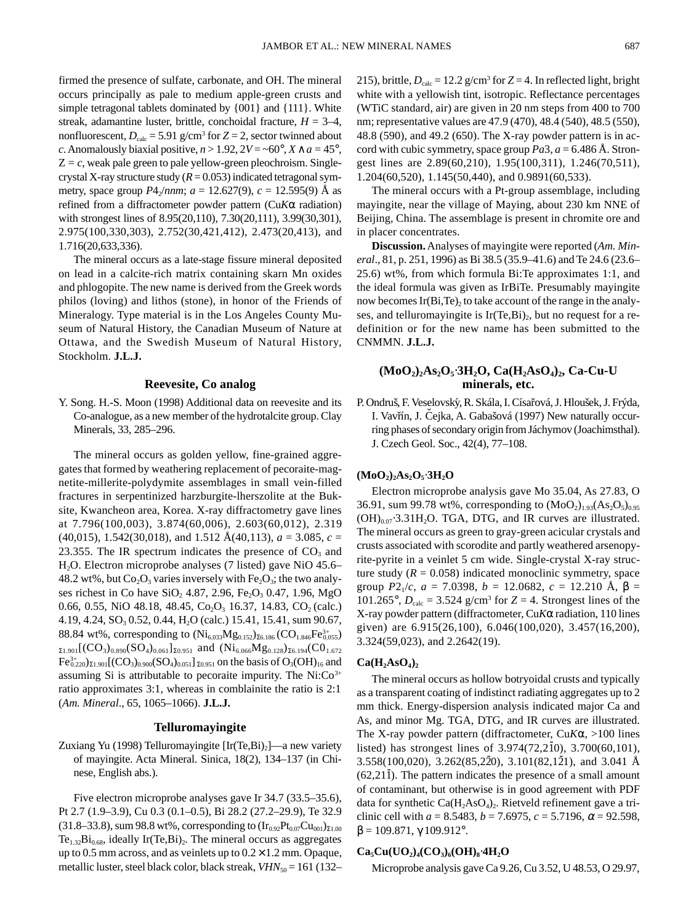firmed the presence of sulfate, carbonate, and OH. The mineral occurs principally as pale to medium apple-green crusts and simple tetragonal tablets dominated by {001} and {111}. White streak, adamantine luster, brittle, conchoidal fracture, *H* = 3–4, nonfluorescent,  $D_{\text{calc}} = 5.91$  g/cm<sup>3</sup> for  $Z = 2$ , sector twinned about *c*. Anomalously biaxial positive,  $n > 1.92$ ,  $2V = ~60^\circ$ ,  $X \wedge a = 45^\circ$ ,  $Z = c$ , weak pale green to pale yellow-green pleochroism. Singlecrystal X-ray structure study  $(R = 0.053)$  indicated tetragonal symmetry, space group  $P4_2/nnm$ ;  $a = 12.627(9)$ ,  $c = 12.595(9)$  Å as refined from a diffractometer powder pattern (Cu*K*α radiation) with strongest lines of 8.95(20,110), 7.30(20,111), 3.99(30,301), 2.975(100,330,303), 2.752(30,421,412), 2.473(20,413), and 1.716(20,633,336).

The mineral occurs as a late-stage fissure mineral deposited on lead in a calcite-rich matrix containing skarn Mn oxides and phlogopite. The new name is derived from the Greek words philos (loving) and lithos (stone), in honor of the Friends of Mineralogy. Type material is in the Los Angeles County Museum of Natural History, the Canadian Museum of Nature at Ottawa, and the Swedish Museum of Natural History, Stockholm. **J.L.J.**

#### **Reevesite, Co analog**

Y. Song. H.-S. Moon (1998) Additional data on reevesite and its Co-analogue, as a new member of the hydrotalcite group. Clay Minerals, 33, 285–296.

The mineral occurs as golden yellow, fine-grained aggregates that formed by weathering replacement of pecoraite-magnetite-millerite-polydymite assemblages in small vein-filled fractures in serpentinized harzburgite-lherszolite at the Buksite, Kwancheon area, Korea. X-ray diffractometry gave lines at 7.796(100,003), 3.874(60,006), 2.603(60,012), 2.319  $(40,015)$ , 1.542 $(30,018)$ , and 1.512  $\AA(40,113)$ ,  $a = 3.085$ ,  $c =$ 23.355. The IR spectrum indicates the presence of  $CO<sub>3</sub>$  and H2O. Electron microprobe analyses (7 listed) gave NiO 45.6– 48.2 wt%, but  $Co<sub>2</sub>O<sub>3</sub>$  varies inversely with  $Fe<sub>2</sub>O<sub>3</sub>$ ; the two analyses richest in Co have  $SiO_2$  4.87, 2.96, Fe<sub>2</sub>O<sub>3</sub> 0.47, 1.96, MgO 0.66, 0.55, NiO 48.18, 48.45, Co<sub>2</sub>O<sub>3</sub> 16.37, 14.83, CO<sub>2</sub> (calc.) 4.19, 4.24, SO<sub>3</sub> 0.52, 0.44, H<sub>2</sub>O (calc.) 15.41, 15.41, sum 90.67, 88.84 wt%, corresponding to  $(Ni_{6.03}Mg_{0.152})_{\Sigma 6.186} (CO_{1.846}Fe_{0.055}^{3+})$  $\Sigma_{1.901}[(CO_3)_{0.890}(SO_4)_{0.061}]_{\Sigma_{0.951}}$  and  $(Ni_{6.066}Mg_{0.128})_{\Sigma_{6.194}}(CO_{1.672})$  $\rm Fe^{3+}_{0.220})_{\Sigma1.901}[(CO_3)_{0.900}(SO_4)_{0.051}]_{\Sigma0.951}$  on the basis of  $\rm O_3(OH)_{16}$  and assuming Si is attributable to pecoraite impurity. The  $Ni:Co<sup>3+</sup>$ ratio approximates 3:1, whereas in comblainite the ratio is 2:1 (*Am. Mineral*., 65, 1065–1066). **J.L.J.**

### **Telluromayingite**

Zuxiang Yu (1998) Telluromayingite  $[Ir(Te,Bi)_2]$ —a new variety of mayingite. Acta Mineral. Sinica, 18(2), 134–137 (in Chinese, English abs.).

Five electron microprobe analyses gave Ir 34.7 (33.5–35.6), Pt 2.7 (1.9–3.9), Cu 0.3 (0.1–0.5), Bi 28.2 (27.2–29.9), Te 32.9 (31.8–33.8), sum 98.8 wt%, corresponding to  $(Ir_{0.92}Pt_{0.07}Cu_{001})_{\Sigma1.00}$  $Te<sub>1.32</sub>Bi<sub>0.68</sub>$ , ideally Ir(Te,Bi)<sub>2</sub>. The mineral occurs as aggregates up to 0.5 mm across, and as veinlets up to  $0.2 \times 1.2$  mm. Opaque, metallic luster, steel black color, black streak,  $VHN_{50} = 161$  (132–

215), brittle,  $D_{\text{calc}} = 12.2 \text{ g/cm}^3$  for  $Z = 4$ . In reflected light, bright white with a yellowish tint, isotropic. Reflectance percentages (WTiC standard, air) are given in 20 nm steps from 400 to 700 nm; representative values are 47.9 (470), 48.4 (540), 48.5 (550), 48.8 (590), and 49.2 (650). The X-ray powder pattern is in accord with cubic symmetry, space group  $Pa3$ ,  $a = 6.486$  Å. Strongest lines are 2.89(60,210), 1.95(100,311), 1.246(70,511), 1.204(60,520), 1.145(50,440), and 0.9891(60,533).

The mineral occurs with a Pt-group assemblage, including mayingite, near the village of Maying, about 230 km NNE of Beijing, China. The assemblage is present in chromite ore and in placer concentrates.

**Discussion.** Analyses of mayingite were reported (*Am. Mineral*., 81, p. 251, 1996) as Bi 38.5 (35.9–41.6) and Te 24.6 (23.6– 25.6) wt%, from which formula Bi:Te approximates 1:1, and the ideal formula was given as IrBiTe. Presumably mayingite now becomes  $Ir(Bi,Te)_2$  to take account of the range in the analyses, and telluromayingite is  $Ir(Te,Bi)<sub>2</sub>$ , but no request for a redefinition or for the new name has been submitted to the CNMMN. **J.L.J.**

## **(MoO2)2As2O5**⋅**3H2O, Ca(H2AsO4)2, Ca-Cu-U minerals, etc.**

P. Ondruš, F. Veselovský, R. Skála, I. Císařová, J. Hloušek, J. Frýda, I. Vavřín, J. Čejka, A. Gabašová (1997) New naturally occurring phases of secondary origin from Jáchymov (Joachimsthal). J. Czech Geol. Soc., 42(4), 77–108.

#### **(MoO2)2As2O5**⋅**3H2O**

Electron microprobe analysis gave Mo 35.04, As 27.83, O 36.91, sum 99.78 wt%, corresponding to  $(MoO<sub>2</sub>)<sub>1.93</sub>(As<sub>2</sub>O<sub>5</sub>)<sub>0.95</sub>$  $(OH)_{0.07}$  3.31H<sub>2</sub>O. TGA, DTG, and IR curves are illustrated. The mineral occurs as green to gray-green acicular crystals and crusts associated with scorodite and partly weathered arsenopyrite-pyrite in a veinlet 5 cm wide. Single-crystal X-ray structure study  $(R = 0.058)$  indicated monoclinic symmetry, space group  $P2_1/c$ ,  $a = 7.0398$ ,  $b = 12.0682$ ,  $c = 12.210$  Å,  $\beta =$ 101.265°,  $D_{\text{calc}} = 3.524$  g/cm<sup>3</sup> for  $Z = 4$ . Strongest lines of the X-ray powder pattern (diffractometer, Cu*K*α radiation, 110 lines given) are 6.915(26,100), 6.046(100,020), 3.457(16,200), 3.324(59,023), and 2.2642(19).

### $Ca(H_2AsO_4)_2$

The mineral occurs as hollow botryoidal crusts and typically as a transparent coating of indistinct radiating aggregates up to 2 mm thick. Energy-dispersion analysis indicated major Ca and As, and minor Mg. TGA, DTG, and IR curves are illustrated. The X-ray powder pattern (diffractometer, Cu*K*α, >100 lines listed) has strongest lines of  $3.974(72,2\overline{10})$ ,  $3.700(60,101)$ ,  $3.558(100,020)$ ,  $3.262(85,220)$ ,  $3.101(82,121)$ , and  $3.041$  Å  $(62,21\bar{1})$ . The pattern indicates the presence of a small amount of contaminant, but otherwise is in good agreement with PDF data for synthetic  $Ca(H_2AsO_4)$ . Rietveld refinement gave a triclinic cell with  $a = 8.5483$ ,  $b = 7.6975$ ,  $c = 5.7196$ ,  $\alpha = 92.598$ ,  $β = 109.871, γ 109.912°.$ 

#### $Ca_5Cu(UO_2)_4(CO_3)_6(OH)_8.4H_2O$

Microprobe analysis gave Ca 9.26, Cu 3.52, U 48.53, O 29.97,